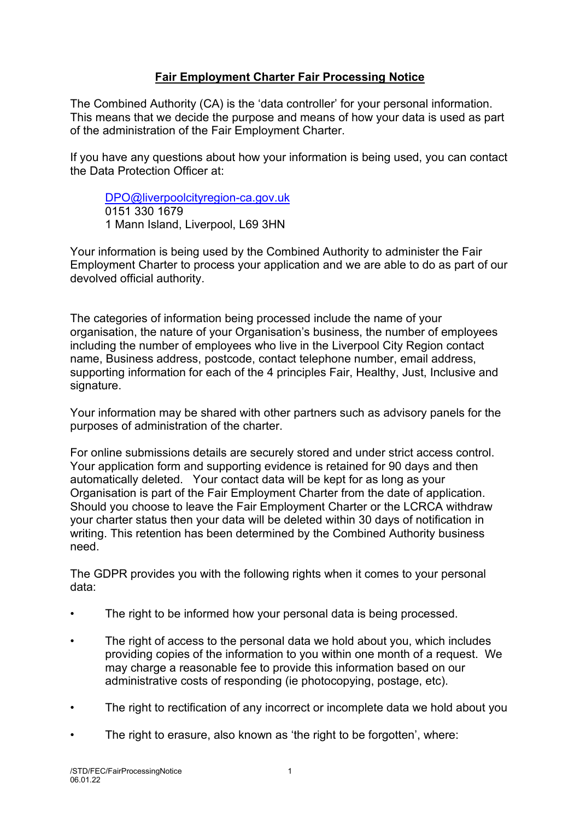## **Fair Employment Charter Fair Processing Notice**

The Combined Authority (CA) is the 'data controller' for your personal information. This means that we decide the purpose and means of how your data is used as part of the administration of the Fair Employment Charter.

If you have any questions about how your information is being used, you can contact the Data Protection Officer at:

[DPO@liverpoolcityregion-ca.gov.uk](mailto:DPO@liverpoolcityregion-ca.gov.uk) 0151 330 1679 1 Mann Island, Liverpool, L69 3HN

Your information is being used by the Combined Authority to administer the Fair Employment Charter to process your application and we are able to do as part of our devolved official authority.

The categories of information being processed include the name of your organisation, the nature of your Organisation's business, the number of employees including the number of employees who live in the Liverpool City Region contact name, Business address, postcode, contact telephone number, email address, supporting information for each of the 4 principles Fair, Healthy, Just, Inclusive and signature.

Your information may be shared with other partners such as advisory panels for the purposes of administration of the charter.

For online submissions details are securely stored and under strict access control. Your application form and supporting evidence is retained for 90 days and then automatically deleted. Your contact data will be kept for as long as your Organisation is part of the Fair Employment Charter from the date of application. Should you choose to leave the Fair Employment Charter or the LCRCA withdraw your charter status then your data will be deleted within 30 days of notification in writing. This retention has been determined by the Combined Authority business need.

The GDPR provides you with the following rights when it comes to your personal data:

- The right to be informed how your personal data is being processed.
- The right of access to the personal data we hold about you, which includes providing copies of the information to you within one month of a request. We may charge a reasonable fee to provide this information based on our administrative costs of responding (ie photocopying, postage, etc).
- The right to rectification of any incorrect or incomplete data we hold about you
- The right to erasure, also known as 'the right to be forgotten', where: